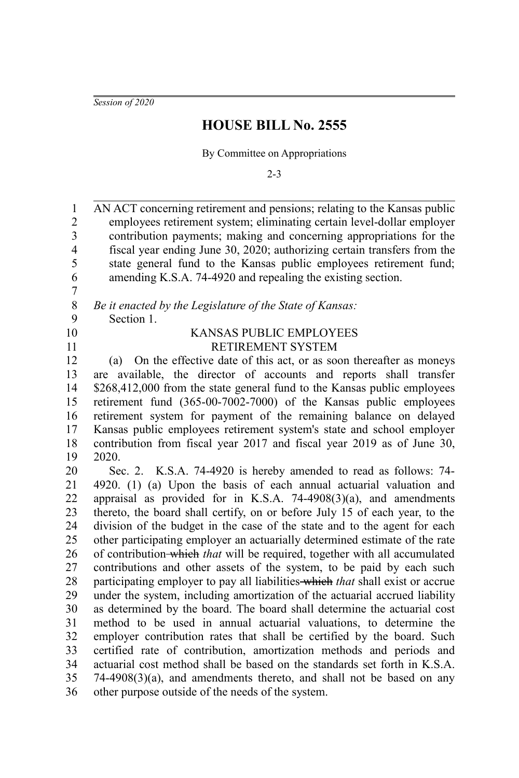*Session of 2020*

## **HOUSE BILL No. 2555**

By Committee on Appropriations

2-3

AN ACT concerning retirement and pensions; relating to the Kansas public employees retirement system; eliminating certain level-dollar employer contribution payments; making and concerning appropriations for the fiscal year ending June 30, 2020; authorizing certain transfers from the state general fund to the Kansas public employees retirement fund; amending K.S.A. 74-4920 and repealing the existing section. 1 2 3 4 5 6

*Be it enacted by the Legislature of the State of Kansas:* 8 9

- Section 1.
- 10 11

7

## KANSAS PUBLIC EMPLOYEES RETIREMENT SYSTEM

(a) On the effective date of this act, or as soon thereafter as moneys are available, the director of accounts and reports shall transfer \$268,412,000 from the state general fund to the Kansas public employees retirement fund (365-00-7002-7000) of the Kansas public employees retirement system for payment of the remaining balance on delayed Kansas public employees retirement system's state and school employer contribution from fiscal year 2017 and fiscal year 2019 as of June 30, 2020. 12 13 14 15 16 17 18 19

Sec. 2. K.S.A. 74-4920 is hereby amended to read as follows: 74- 4920. (1) (a) Upon the basis of each annual actuarial valuation and appraisal as provided for in K.S.A.  $74-4908(3)(a)$ , and amendments thereto, the board shall certify, on or before July 15 of each year, to the division of the budget in the case of the state and to the agent for each other participating employer an actuarially determined estimate of the rate of contribution which *that* will be required, together with all accumulated contributions and other assets of the system, to be paid by each such participating employer to pay all liabilities which *that* shall exist or accrue under the system, including amortization of the actuarial accrued liability as determined by the board. The board shall determine the actuarial cost method to be used in annual actuarial valuations, to determine the employer contribution rates that shall be certified by the board. Such certified rate of contribution, amortization methods and periods and actuarial cost method shall be based on the standards set forth in K.S.A. 74-4908(3)(a), and amendments thereto, and shall not be based on any other purpose outside of the needs of the system. 20 21 22 23 24 25 26 27 28 29 30 31 32 33 34 35 36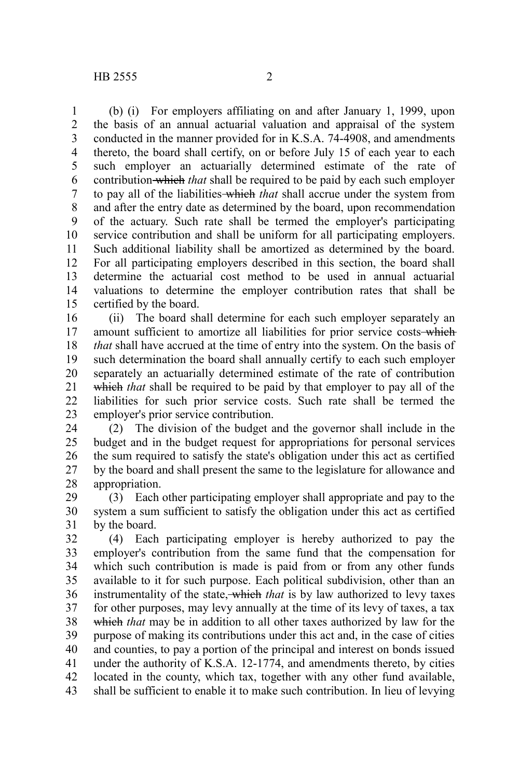(b) (i) For employers affiliating on and after January 1, 1999, upon the basis of an annual actuarial valuation and appraisal of the system conducted in the manner provided for in K.S.A. 74-4908, and amendments thereto, the board shall certify, on or before July 15 of each year to each such employer an actuarially determined estimate of the rate of contribution which *that* shall be required to be paid by each such employer to pay all of the liabilities which *that* shall accrue under the system from and after the entry date as determined by the board, upon recommendation of the actuary. Such rate shall be termed the employer's participating service contribution and shall be uniform for all participating employers. Such additional liability shall be amortized as determined by the board. For all participating employers described in this section, the board shall determine the actuarial cost method to be used in annual actuarial valuations to determine the employer contribution rates that shall be certified by the board. 1 2 3 4 5 6 7 8 9 10 11 12 13 14 15

(ii) The board shall determine for each such employer separately an amount sufficient to amortize all liabilities for prior service costs-which *that* shall have accrued at the time of entry into the system. On the basis of such determination the board shall annually certify to each such employer separately an actuarially determined estimate of the rate of contribution which *that* shall be required to be paid by that employer to pay all of the liabilities for such prior service costs. Such rate shall be termed the employer's prior service contribution. 16 17 18 19 20 21 22 23

(2) The division of the budget and the governor shall include in the budget and in the budget request for appropriations for personal services the sum required to satisfy the state's obligation under this act as certified by the board and shall present the same to the legislature for allowance and appropriation. 24 25 26 27 28

(3) Each other participating employer shall appropriate and pay to the system a sum sufficient to satisfy the obligation under this act as certified by the board. 29 30 31

(4) Each participating employer is hereby authorized to pay the employer's contribution from the same fund that the compensation for which such contribution is made is paid from or from any other funds available to it for such purpose. Each political subdivision, other than an instrumentality of the state, which *that* is by law authorized to levy taxes for other purposes, may levy annually at the time of its levy of taxes, a tax which *that* may be in addition to all other taxes authorized by law for the purpose of making its contributions under this act and, in the case of cities and counties, to pay a portion of the principal and interest on bonds issued under the authority of K.S.A. 12-1774, and amendments thereto, by cities located in the county, which tax, together with any other fund available, shall be sufficient to enable it to make such contribution. In lieu of levying 32 33 34 35 36 37 38 39 40 41 42 43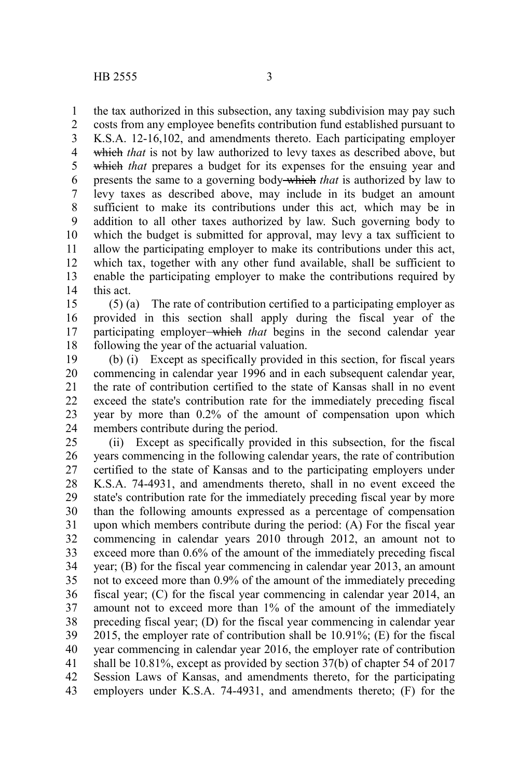the tax authorized in this subsection, any taxing subdivision may pay such 1

costs from any employee benefits contribution fund established pursuant to K.S.A. 12-16,102, and amendments thereto. Each participating employer which *that* is not by law authorized to levy taxes as described above, but which *that* prepares a budget for its expenses for the ensuing year and presents the same to a governing body which *that* is authorized by law to levy taxes as described above, may include in its budget an amount sufficient to make its contributions under this act*,* which may be in addition to all other taxes authorized by law. Such governing body to which the budget is submitted for approval, may levy a tax sufficient to allow the participating employer to make its contributions under this act, which tax, together with any other fund available, shall be sufficient to enable the participating employer to make the contributions required by this act. 2 3 4 5 6 7 8 9 10 11 12 13 14

(5) (a) The rate of contribution certified to a participating employer as provided in this section shall apply during the fiscal year of the participating employer which *that* begins in the second calendar year following the year of the actuarial valuation. 15 16 17 18

(b) (i) Except as specifically provided in this section, for fiscal years commencing in calendar year 1996 and in each subsequent calendar year, the rate of contribution certified to the state of Kansas shall in no event exceed the state's contribution rate for the immediately preceding fiscal year by more than 0.2% of the amount of compensation upon which members contribute during the period. 19 20 21 22 23 24

(ii) Except as specifically provided in this subsection, for the fiscal years commencing in the following calendar years, the rate of contribution certified to the state of Kansas and to the participating employers under K.S.A. 74-4931, and amendments thereto, shall in no event exceed the state's contribution rate for the immediately preceding fiscal year by more than the following amounts expressed as a percentage of compensation upon which members contribute during the period: (A) For the fiscal year commencing in calendar years 2010 through 2012, an amount not to exceed more than 0.6% of the amount of the immediately preceding fiscal year; (B) for the fiscal year commencing in calendar year 2013, an amount not to exceed more than 0.9% of the amount of the immediately preceding fiscal year; (C) for the fiscal year commencing in calendar year 2014, an amount not to exceed more than 1% of the amount of the immediately preceding fiscal year; (D) for the fiscal year commencing in calendar year 2015, the employer rate of contribution shall be 10.91%; (E) for the fiscal year commencing in calendar year 2016, the employer rate of contribution shall be 10.81%, except as provided by section 37(b) of chapter 54 of 2017 Session Laws of Kansas, and amendments thereto, for the participating employers under K.S.A. 74-4931, and amendments thereto; (F) for the 25 26 27 28 29 30 31 32 33 34 35 36 37 38 39 40 41 42 43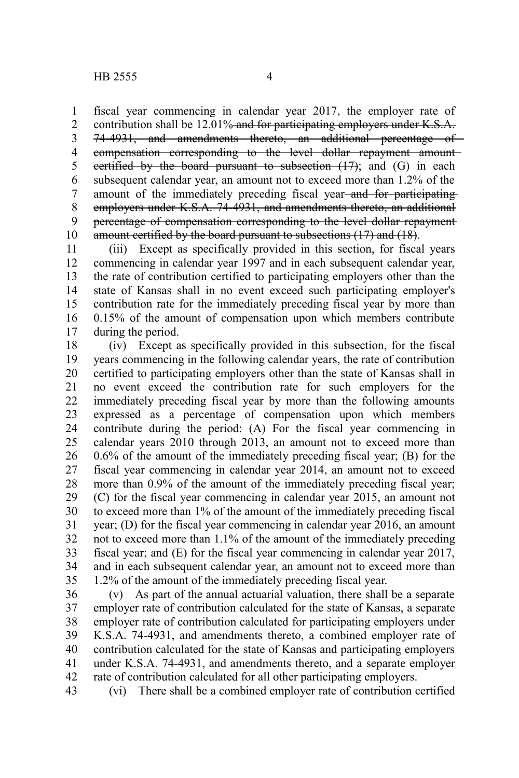fiscal year commencing in calendar year 2017, the employer rate of contribution shall be 12.01% and for participating employers under K.S.A. 74-4931, and amendments thereto, an additional percentage of compensation corresponding to the level dollar repayment amount certified by the board pursuant to subsection  $(17)$ ; and  $(G)$  in each subsequent calendar year, an amount not to exceed more than 1.2% of the amount of the immediately preceding fiscal year-and for participatingemployers under K.S.A. 74-4931, and amendments thereto, an additional percentage of compensation corresponding to the level dollar repayment amount certified by the board pursuant to subsections (17) and (18). 1 2 3 4 5 6 7 8 9 10

(iii) Except as specifically provided in this section, for fiscal years commencing in calendar year 1997 and in each subsequent calendar year, the rate of contribution certified to participating employers other than the state of Kansas shall in no event exceed such participating employer's contribution rate for the immediately preceding fiscal year by more than 0.15% of the amount of compensation upon which members contribute during the period. 11 12 13 14 15 16 17

(iv) Except as specifically provided in this subsection, for the fiscal years commencing in the following calendar years, the rate of contribution certified to participating employers other than the state of Kansas shall in no event exceed the contribution rate for such employers for the immediately preceding fiscal year by more than the following amounts expressed as a percentage of compensation upon which members contribute during the period: (A) For the fiscal year commencing in calendar years 2010 through 2013, an amount not to exceed more than 0.6% of the amount of the immediately preceding fiscal year; (B) for the fiscal year commencing in calendar year 2014, an amount not to exceed more than 0.9% of the amount of the immediately preceding fiscal year; (C) for the fiscal year commencing in calendar year 2015, an amount not to exceed more than 1% of the amount of the immediately preceding fiscal year; (D) for the fiscal year commencing in calendar year 2016, an amount not to exceed more than 1.1% of the amount of the immediately preceding fiscal year; and (E) for the fiscal year commencing in calendar year 2017, and in each subsequent calendar year, an amount not to exceed more than 1.2% of the amount of the immediately preceding fiscal year. 18 19 20 21 22 23 24 25 26 27 28 29 30 31 32 33 34 35

(v) As part of the annual actuarial valuation, there shall be a separate employer rate of contribution calculated for the state of Kansas, a separate employer rate of contribution calculated for participating employers under K.S.A. 74-4931, and amendments thereto, a combined employer rate of contribution calculated for the state of Kansas and participating employers under K.S.A. 74-4931, and amendments thereto, and a separate employer rate of contribution calculated for all other participating employers. 36 37 38 39 40 41 42

(vi) There shall be a combined employer rate of contribution certified 43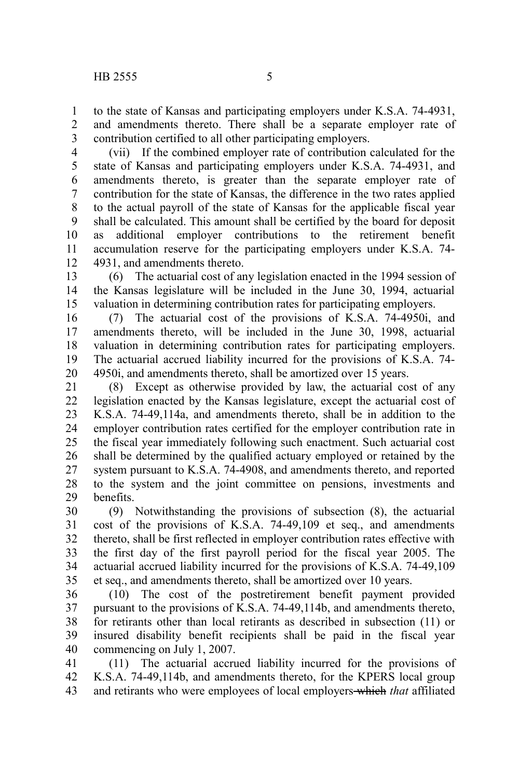to the state of Kansas and participating employers under K.S.A. 74-4931, and amendments thereto. There shall be a separate employer rate of contribution certified to all other participating employers. 1 2 3

(vii) If the combined employer rate of contribution calculated for the state of Kansas and participating employers under K.S.A. 74-4931, and amendments thereto, is greater than the separate employer rate of contribution for the state of Kansas, the difference in the two rates applied to the actual payroll of the state of Kansas for the applicable fiscal year shall be calculated. This amount shall be certified by the board for deposit as additional employer contributions to the retirement benefit accumulation reserve for the participating employers under K.S.A. 74- 4931, and amendments thereto. 4 5 6 7 8 9 10 11 12

(6) The actuarial cost of any legislation enacted in the 1994 session of the Kansas legislature will be included in the June 30, 1994, actuarial valuation in determining contribution rates for participating employers. 13 14 15

(7) The actuarial cost of the provisions of K.S.A. 74-4950i, and amendments thereto, will be included in the June 30, 1998, actuarial valuation in determining contribution rates for participating employers. The actuarial accrued liability incurred for the provisions of K.S.A. 74- 4950i, and amendments thereto, shall be amortized over 15 years. 16 17 18 19 20

(8) Except as otherwise provided by law, the actuarial cost of any legislation enacted by the Kansas legislature, except the actuarial cost of K.S.A. 74-49,114a, and amendments thereto, shall be in addition to the employer contribution rates certified for the employer contribution rate in the fiscal year immediately following such enactment. Such actuarial cost shall be determined by the qualified actuary employed or retained by the system pursuant to K.S.A. 74-4908, and amendments thereto, and reported to the system and the joint committee on pensions, investments and benefits. 21 22 23 24 25 26 27 28 29

(9) Notwithstanding the provisions of subsection (8), the actuarial cost of the provisions of K.S.A. 74-49,109 et seq., and amendments thereto, shall be first reflected in employer contribution rates effective with the first day of the first payroll period for the fiscal year 2005. The actuarial accrued liability incurred for the provisions of K.S.A. 74-49,109 et seq., and amendments thereto, shall be amortized over 10 years. 30 31 32 33 34 35

(10) The cost of the postretirement benefit payment provided pursuant to the provisions of K.S.A. 74-49,114b, and amendments thereto, for retirants other than local retirants as described in subsection (11) or insured disability benefit recipients shall be paid in the fiscal year commencing on July 1, 2007. 36 37 38 39 40

(11) The actuarial accrued liability incurred for the provisions of K.S.A. 74-49,114b, and amendments thereto, for the KPERS local group and retirants who were employees of local employers which *that* affiliated 41 42 43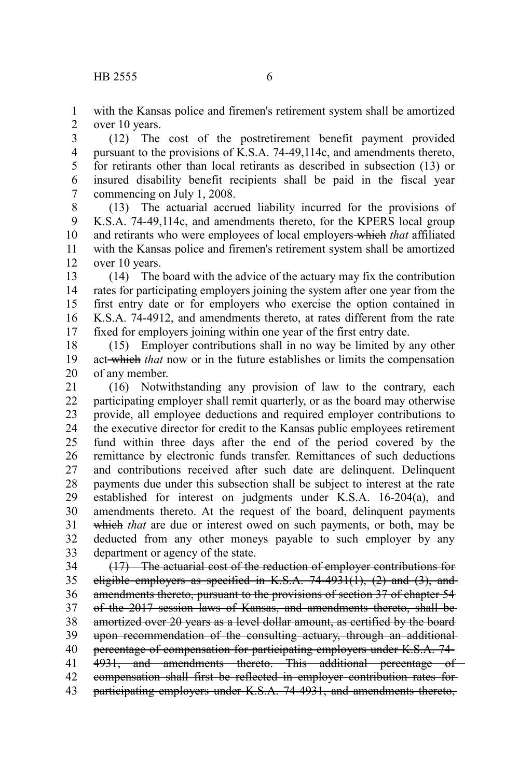with the Kansas police and firemen's retirement system shall be amortized over 10 years. 1 2

(12) The cost of the postretirement benefit payment provided pursuant to the provisions of K.S.A. 74-49,114c, and amendments thereto, for retirants other than local retirants as described in subsection (13) or insured disability benefit recipients shall be paid in the fiscal year commencing on July 1, 2008. 3 4 5 6 7

(13) The actuarial accrued liability incurred for the provisions of K.S.A. 74-49,114c, and amendments thereto, for the KPERS local group and retirants who were employees of local employers which *that* affiliated with the Kansas police and firemen's retirement system shall be amortized over 10 years. 8 9 10 11 12

(14) The board with the advice of the actuary may fix the contribution rates for participating employers joining the system after one year from the first entry date or for employers who exercise the option contained in K.S.A. 74-4912, and amendments thereto, at rates different from the rate fixed for employers joining within one year of the first entry date. 13 14 15 16 17

(15) Employer contributions shall in no way be limited by any other act which *that* now or in the future establishes or limits the compensation of any member. 18 19 20

(16) Notwithstanding any provision of law to the contrary, each participating employer shall remit quarterly, or as the board may otherwise provide, all employee deductions and required employer contributions to the executive director for credit to the Kansas public employees retirement fund within three days after the end of the period covered by the remittance by electronic funds transfer. Remittances of such deductions and contributions received after such date are delinquent. Delinquent payments due under this subsection shall be subject to interest at the rate established for interest on judgments under K.S.A. 16-204(a), and amendments thereto. At the request of the board, delinquent payments which *that* are due or interest owed on such payments, or both, may be deducted from any other moneys payable to such employer by any department or agency of the state. 21 22 23 24 25 26 27 28 29 30 31 32 33

(17) The actuarial cost of the reduction of employer contributions for eligible employers as specified in K.S.A.  $74-4931(1)$ ,  $(2)$  and  $(3)$ , and amendments thereto, pursuant to the provisions of section 37 of chapter 54 of the 2017 session laws of Kansas, and amendments thereto, shall be amortized over 20 years as a level dollar amount, as certified by the board upon recommendation of the consulting actuary, through an additional percentage of compensation for participating employers under K.S.A. 74- 4931, and amendments thereto. This additional percentage of compensation shall first be reflected in employer contribution rates for participating employers under K.S.A. 74-4931, and amendments thereto, 34 35 36 37 38 39 40 41 42 43